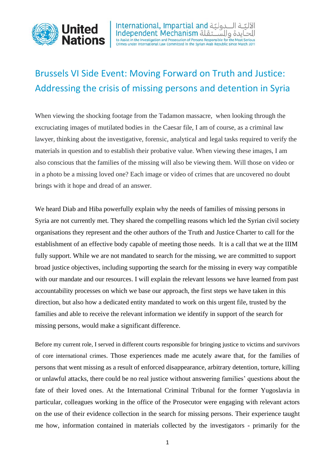

ـة الـــدوليّة International, Impartial and<br>ايدة والســـتقلة Independent Mechanism to Assist in the Investigation and Prosecution of Persons Responsible for the Most Serious<br>Crimes under International Law Committed in the Syrian Arab Republic since March 2011

## Brussels VI Side Event: Moving Forward on Truth and Justice: Addressing the crisis of missing persons and detention in Syria

When viewing the shocking footage from the Tadamon massacre, when looking through the excruciating images of mutilated bodies in the Caesar file, I am of course, as a criminal law lawyer, thinking about the investigative, forensic, analytical and legal tasks required to verify the materials in question and to establish their probative value. When viewing these images, I am also conscious that the families of the missing will also be viewing them. Will those on video or in a photo be a missing loved one? Each image or video of crimes that are uncovered no doubt brings with it hope and dread of an answer.

We heard Diab and Hiba powerfully explain why the needs of families of missing persons in Syria are not currently met. They shared the compelling reasons which led the Syrian civil society organisations they represent and the other authors of the Truth and Justice Charter to call for the establishment of an effective body capable of meeting those needs. It is a call that we at the IIIM fully support. While we are not mandated to search for the missing, we are committed to support broad justice objectives, including supporting the search for the missing in every way compatible with our mandate and our resources. I will explain the relevant lessons we have learned from past accountability processes on which we base our approach, the first steps we have taken in this direction, but also how a dedicated entity mandated to work on this urgent file, trusted by the families and able to receive the relevant information we identify in support of the search for missing persons, would make a significant difference.

Before my current role, I served in different courts responsible for bringing justice to victims and survivors of core international crimes. Those experiences made me acutely aware that, for the families of persons that went missing as a result of enforced disappearance, arbitrary detention, torture, killing or unlawful attacks, there could be no real justice without answering families' questions about the fate of their loved ones. At the International Criminal Tribunal for the former Yugoslavia in particular, colleagues working in the office of the Prosecutor were engaging with relevant actors on the use of their evidence collection in the search for missing persons. Their experience taught me how, information contained in materials collected by the investigators - primarily for the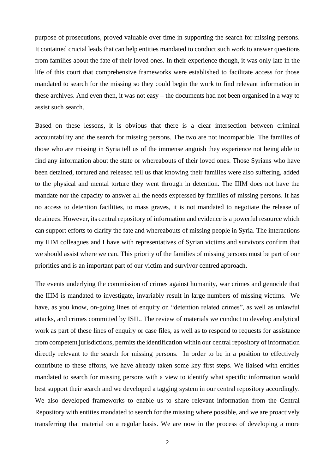purpose of prosecutions, proved valuable over time in supporting the search for missing persons. It contained crucial leads that can help entities mandated to conduct such work to answer questions from families about the fate of their loved ones. In their experience though, it was only late in the life of this court that comprehensive frameworks were established to facilitate access for those mandated to search for the missing so they could begin the work to find relevant information in these archives. And even then, it was not easy – the documents had not been organised in a way to assist such search.

Based on these lessons, it is obvious that there is a clear intersection between criminal accountability and the search for missing persons. The two are not incompatible. The families of those who are missing in Syria tell us of the immense anguish they experience not being able to find any information about the state or whereabouts of their loved ones. Those Syrians who have been detained, tortured and released tell us that knowing their families were also suffering, added to the physical and mental torture they went through in detention. The IIIM does not have the mandate nor the capacity to answer all the needs expressed by families of missing persons. It has no access to detention facilities, to mass graves, it is not mandated to negotiate the release of detainees. However, its central repository of information and evidence is a powerful resource which can support efforts to clarify the fate and whereabouts of missing people in Syria. The interactions my IIIM colleagues and I have with representatives of Syrian victims and survivors confirm that we should assist where we can. This priority of the families of missing persons must be part of our priorities and is an important part of our victim and survivor centred approach.

The events underlying the commission of crimes against humanity, war crimes and genocide that the IIIM is mandated to investigate, invariably result in large numbers of missing victims. We have, as you know, on-going lines of enquiry on "detention related crimes", as well as unlawful attacks, and crimes committed by ISIL. The review of materials we conduct to develop analytical work as part of these lines of enquiry or case files, as well as to respond to requests for assistance from competent jurisdictions, permits the identification within our central repository of information directly relevant to the search for missing persons. In order to be in a position to effectively contribute to these efforts, we have already taken some key first steps. We liaised with entities mandated to search for missing persons with a view to identify what specific information would best support their search and we developed a tagging system in our central repository accordingly. We also developed frameworks to enable us to share relevant information from the Central Repository with entities mandated to search for the missing where possible, and we are proactively transferring that material on a regular basis. We are now in the process of developing a more